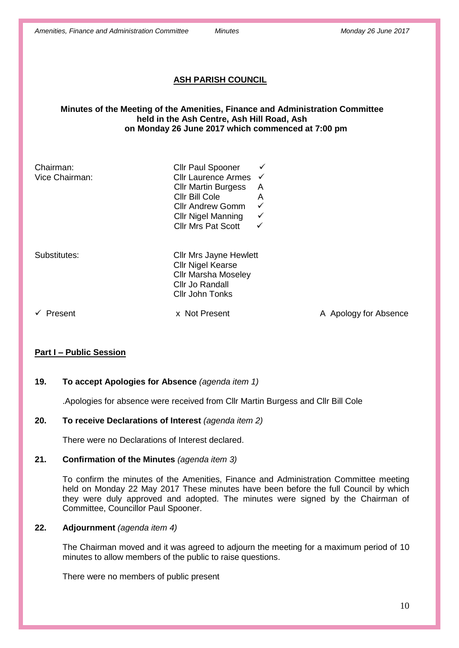# **ASH PARISH COUNCIL**

## **Minutes of the Meeting of the Amenities, Finance and Administration Committee held in the Ash Centre, Ash Hill Road, Ash on Monday 26 June 2017 which commenced at 7:00 pm**

| Chairman:<br>Vice Chairman: | <b>Cllr Paul Spooner</b><br>Cllr Laurence Armes<br><b>Cllr Martin Burgess</b><br>Cllr Bill Cole<br><b>Cllr Andrew Gomm</b><br><b>Cllr Nigel Manning</b><br><b>Cllr Mrs Pat Scott</b> | ✓<br>$\checkmark$<br>A<br>A<br>✓<br>✓<br>✓ |                       |
|-----------------------------|--------------------------------------------------------------------------------------------------------------------------------------------------------------------------------------|--------------------------------------------|-----------------------|
| Substitutes:                | <b>Cllr Mrs Jayne Hewlett</b><br><b>Cllr Nigel Kearse</b><br><b>Cllr Marsha Moseley</b><br>Cllr Jo Randall<br>Cllr John Tonks                                                        |                                            |                       |
| Present                     | x Not Present                                                                                                                                                                        |                                            | A Apology for Absence |

# **Part I – Public Session**

# **19. To accept Apologies for Absence** *(agenda item 1)*

.Apologies for absence were received from Cllr Martin Burgess and Cllr Bill Cole

# **20. To receive Declarations of Interest** *(agenda item 2)*

There were no Declarations of Interest declared.

## **21. Confirmation of the Minutes** *(agenda item 3)*

To confirm the minutes of the Amenities, Finance and Administration Committee meeting held on Monday 22 May 2017 These minutes have been before the full Council by which they were duly approved and adopted. The minutes were signed by the Chairman of Committee, Councillor Paul Spooner.

# **22. Adjournment** *(agenda item 4)*

The Chairman moved and it was agreed to adjourn the meeting for a maximum period of 10 minutes to allow members of the public to raise questions.

There were no members of public present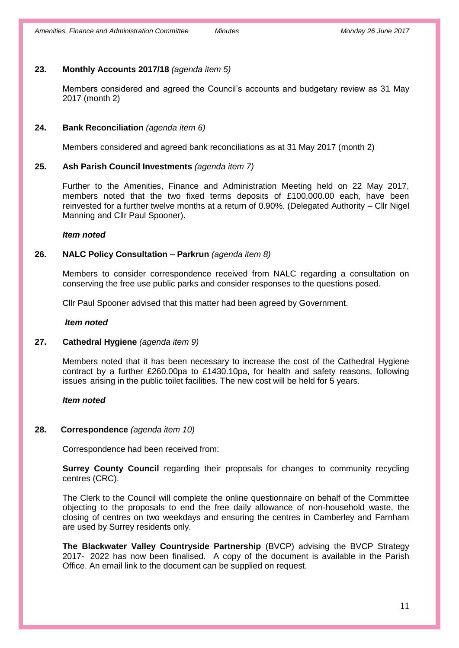# **23. Monthly Accounts 2017/18** *(agenda item 5)*

Members considered and agreed the Council's accounts and budgetary review as 31 May 2017 (month 2)

## **24. Bank Reconciliation** *(agenda item 6)*

Members considered and agreed bank reconciliations as at 31 May 2017 (month 2)

## **25. Ash Parish Council Investments** *(agenda item 7)*

Further to the Amenities, Finance and Administration Meeting held on 22 May 2017, members noted that the two fixed terms deposits of £100,000.00 each, have been reinvested for a further twelve months at a return of 0.90%. (Delegated Authority – Cllr Nigel Manning and Cllr Paul Spooner).

#### *Item noted*

## **26. NALC Policy Consultation – Parkrun** *(agenda item 8)*

Members to consider correspondence received from NALC regarding a consultation on conserving the free use public parks and consider responses to the questions posed.

Cllr Paul Spooner advised that this matter had been agreed by Government.

## *Item noted*

## **27. Cathedral Hygiene** *(agenda item 9)*

Members noted that it has been necessary to increase the cost of the Cathedral Hygiene contract by a further £260.00pa to £1430.10pa, for health and safety reasons, following issues arising in the public toilet facilities. The new cost will be held for 5 years.

## *Item noted*

## **28. Correspondence** *(agenda item 10)*

Correspondence had been received from:

**Surrey County Council** regarding their proposals for changes to community recycling centres (CRC).

The Clerk to the Council will complete the online questionnaire on behalf of the Committee objecting to the proposals to end the free daily allowance of non-household waste, the closing of centres on two weekdays and ensuring the centres in Camberley and Farnham are used by Surrey residents only.

**The Blackwater Valley Countryside Partnership** (BVCP) advising the BVCP Strategy 2017- 2022 has now been finalised. A copy of the document is available in the Parish Office. An email link to the document can be supplied on request.